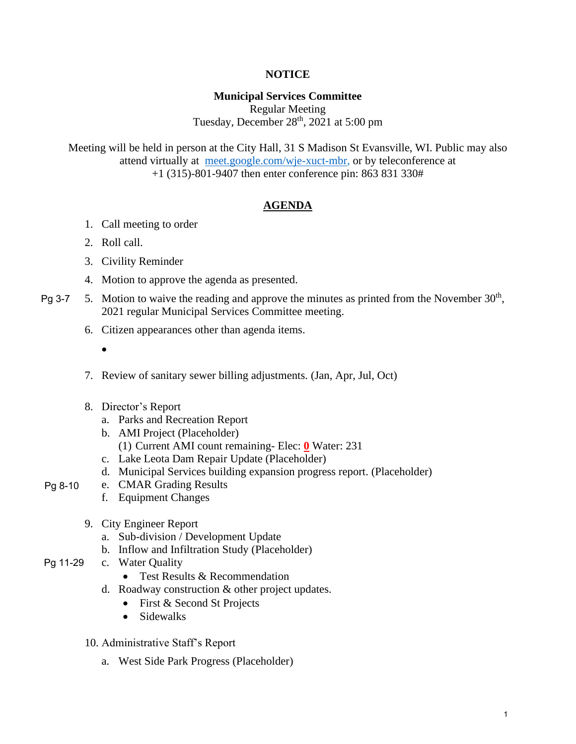# **NOTICE**

### **Municipal Services Committee**

Regular Meeting Tuesday, December  $28<sup>th</sup>$ ,  $2021$  at 5:00 pm

Meeting will be held in person at the City Hall, 31 S Madison St Evansville, WI. Public may also attend virtually at [meet.google.com/wje-xuct-mbr,](meet.google.com/wje-xuct-mbr) or by teleconference at +1 (315)-801-9407 then enter conference pin: 863 831 330#

### **AGENDA**

- 1. Call meeting to order
- 2. Roll call.
- 3. Civility Reminder
- 4. Motion to approve the agenda as presented.
- 5. Motion to waive the reading and approve the minutes as printed from the November  $30<sup>th</sup>$ , 2021 regular Municipal Services Committee meeting. Pg 3-7
	- 6. Citizen appearances other than agenda items.
		- •
	- 7. Review of sanitary sewer billing adjustments. (Jan, Apr, Jul, Oct)
	- 8. Director's Report
		- a. Parks and Recreation Report
		- b. AMI Project (Placeholder)
			- (1) Current AMI count remaining- Elec: **0** Water: 231
		- c. Lake Leota Dam Repair Update (Placeholder)
		- d. Municipal Services building expansion progress report. (Placeholder)
- e. CMAR Grading Results Pg 8-10
	- f. Equipment Changes
	- 9. City Engineer Report
		- a. Sub-division / Development Update
		- b. Inflow and Infiltration Study (Placeholder)
- c. Water Quality Pg 11-29
	- Test Results & Recommendation
	- d. Roadway construction & other project updates.
		- First & Second St Projects
		- Sidewalks
	- 10. Administrative Staff's Report
		- a. West Side Park Progress (Placeholder)